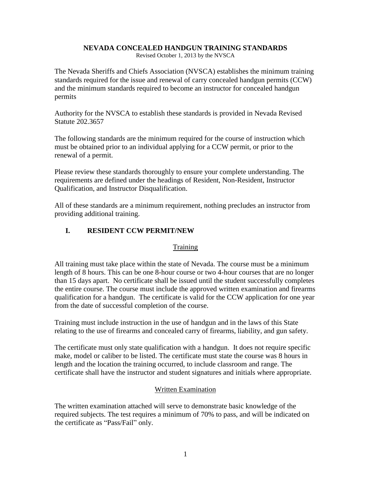## **NEVADA CONCEALED HANDGUN TRAINING STANDARDS**

Revised October 1, 2013 by the NVSCA

The Nevada Sheriffs and Chiefs Association (NVSCA) establishes the minimum training standards required for the issue and renewal of carry concealed handgun permits (CCW) and the minimum standards required to become an instructor for concealed handgun permits

Authority for the NVSCA to establish these standards is provided in Nevada Revised Statute 202.3657

The following standards are the minimum required for the course of instruction which must be obtained prior to an individual applying for a CCW permit, or prior to the renewal of a permit.

Please review these standards thoroughly to ensure your complete understanding. The requirements are defined under the headings of Resident, Non-Resident, Instructor Qualification, and Instructor Disqualification.

All of these standards are a minimum requirement, nothing precludes an instructor from providing additional training.

## **I. RESIDENT CCW PERMIT/NEW**

## **Training**

All training must take place within the state of Nevada. The course must be a minimum length of 8 hours. This can be one 8-hour course or two 4-hour courses that are no longer than 15 days apart. No certificate shall be issued until the student successfully completes the entire course. The course must include the approved written examination and firearms qualification for a handgun. The certificate is valid for the CCW application for one year from the date of successful completion of the course.

Training must include instruction in the use of handgun and in the laws of this State relating to the use of firearms and concealed carry of firearms, liability, and gun safety.

The certificate must only state qualification with a handgun. It does not require specific make, model or caliber to be listed. The certificate must state the course was 8 hours in length and the location the training occurred, to include classroom and range. The certificate shall have the instructor and student signatures and initials where appropriate.

## Written Examination

The written examination attached will serve to demonstrate basic knowledge of the required subjects. The test requires a minimum of 70% to pass, and will be indicated on the certificate as "Pass/Fail" only.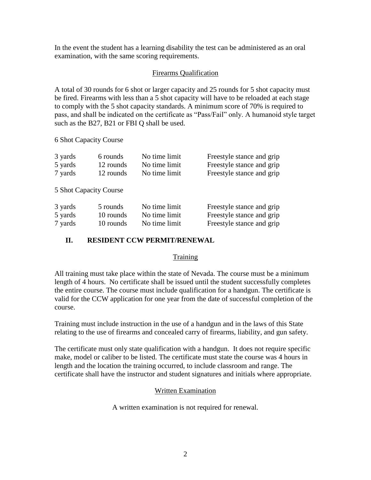In the event the student has a learning disability the test can be administered as an oral examination, with the same scoring requirements.

## Firearms Qualification

A total of 30 rounds for 6 shot or larger capacity and 25 rounds for 5 shot capacity must be fired. Firearms with less than a 5 shot capacity will have to be reloaded at each stage to comply with the 5 shot capacity standards. A minimum score of 70% is required to pass, and shall be indicated on the certificate as "Pass/Fail" only. A humanoid style target such as the B27, B21 or FBI Q shall be used.

6 Shot Capacity Course

| 3 yards | 6 rounds  | No time limit | Freestyle stance and grip |
|---------|-----------|---------------|---------------------------|
| 5 yards | 12 rounds | No time limit | Freestyle stance and grip |
| 7 yards | 12 rounds | No time limit | Freestyle stance and grip |

5 Shot Capacity Course

| 3 yards | 5 rounds  | No time limit | Freestyle stance and grip |
|---------|-----------|---------------|---------------------------|
| 5 yards | 10 rounds | No time limit | Freestyle stance and grip |
| 7 yards | 10 rounds | No time limit | Freestyle stance and grip |

# **II. RESIDENT CCW PERMIT/RENEWAL**

## **Training**

All training must take place within the state of Nevada. The course must be a minimum length of 4 hours. No certificate shall be issued until the student successfully completes the entire course. The course must include qualification for a handgun. The certificate is valid for the CCW application for one year from the date of successful completion of the course.

Training must include instruction in the use of a handgun and in the laws of this State relating to the use of firearms and concealed carry of firearms, liability, and gun safety.

The certificate must only state qualification with a handgun. It does not require specific make, model or caliber to be listed. The certificate must state the course was 4 hours in length and the location the training occurred, to include classroom and range. The certificate shall have the instructor and student signatures and initials where appropriate.

## Written Examination

A written examination is not required for renewal.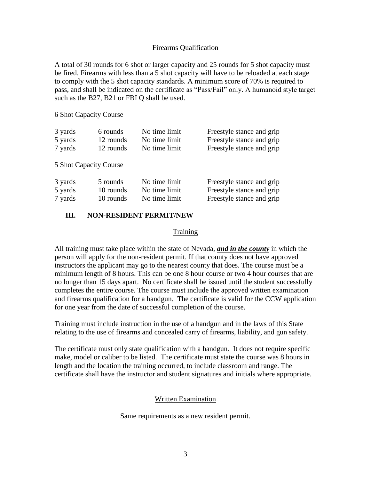### Firearms Qualification

A total of 30 rounds for 6 shot or larger capacity and 25 rounds for 5 shot capacity must be fired. Firearms with less than a 5 shot capacity will have to be reloaded at each stage to comply with the 5 shot capacity standards. A minimum score of 70% is required to pass, and shall be indicated on the certificate as "Pass/Fail" only. A humanoid style target such as the B27, B21 or FBI Q shall be used.

6 Shot Capacity Course

| 3 yards                | 6 rounds  | No time limit | Freestyle stance and grip |
|------------------------|-----------|---------------|---------------------------|
| 5 yards                | 12 rounds | No time limit | Freestyle stance and grip |
| 7 yards                | 12 rounds | No time limit | Freestyle stance and grip |
| 5 Shot Capacity Course |           |               |                           |
| 3 yards                | 5 rounds  | No time limit | Freestyle stance and grip |
| 5 yards                | 10 rounds | No time limit | Freestyle stance and grip |
| 7 yards                | 10 rounds | No time limit | Freestyle stance and grip |

## **III. NON-RESIDENT PERMIT/NEW**

#### **Training**

All training must take place within the state of Nevada, *and in the county* in which the person will apply for the non-resident permit. If that county does not have approved instructors the applicant may go to the nearest county that does. The course must be a minimum length of 8 hours. This can be one 8 hour course or two 4 hour courses that are no longer than 15 days apart. No certificate shall be issued until the student successfully completes the entire course. The course must include the approved written examination and firearms qualification for a handgun. The certificate is valid for the CCW application for one year from the date of successful completion of the course.

Training must include instruction in the use of a handgun and in the laws of this State relating to the use of firearms and concealed carry of firearms, liability, and gun safety.

The certificate must only state qualification with a handgun. It does not require specific make, model or caliber to be listed. The certificate must state the course was 8 hours in length and the location the training occurred, to include classroom and range. The certificate shall have the instructor and student signatures and initials where appropriate.

#### Written Examination

Same requirements as a new resident permit.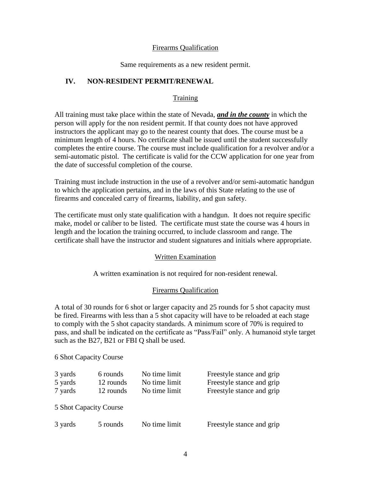### Firearms Qualification

Same requirements as a new resident permit.

## **IV. NON-RESIDENT PERMIT/RENEWAL**

## **Training**

All training must take place within the state of Nevada, *and in the county* in which the person will apply for the non resident permit. If that county does not have approved instructors the applicant may go to the nearest county that does. The course must be a minimum length of 4 hours. No certificate shall be issued until the student successfully completes the entire course. The course must include qualification for a revolver and/or a semi-automatic pistol. The certificate is valid for the CCW application for one year from the date of successful completion of the course.

Training must include instruction in the use of a revolver and/or semi-automatic handgun to which the application pertains, and in the laws of this State relating to the use of firearms and concealed carry of firearms, liability, and gun safety.

The certificate must only state qualification with a handgun. It does not require specific make, model or caliber to be listed. The certificate must state the course was 4 hours in length and the location the training occurred, to include classroom and range. The certificate shall have the instructor and student signatures and initials where appropriate.

## Written Examination

A written examination is not required for non-resident renewal.

## Firearms Qualification

A total of 30 rounds for 6 shot or larger capacity and 25 rounds for 5 shot capacity must be fired. Firearms with less than a 5 shot capacity will have to be reloaded at each stage to comply with the 5 shot capacity standards. A minimum score of 70% is required to pass, and shall be indicated on the certificate as "Pass/Fail" only. A humanoid style target such as the B27, B21 or FBI Q shall be used.

## 6 Shot Capacity Course

| 3 yards<br>5 yards<br>7 yards | 6 rounds<br>12 rounds<br>12 rounds | No time limit<br>No time limit<br>No time limit | Freestyle stance and grip<br>Freestyle stance and grip<br>Freestyle stance and grip |  |
|-------------------------------|------------------------------------|-------------------------------------------------|-------------------------------------------------------------------------------------|--|
| 5 Shot Capacity Course        |                                    |                                                 |                                                                                     |  |
| 3 yards                       | 5 rounds                           | No time limit                                   | Freestyle stance and grip                                                           |  |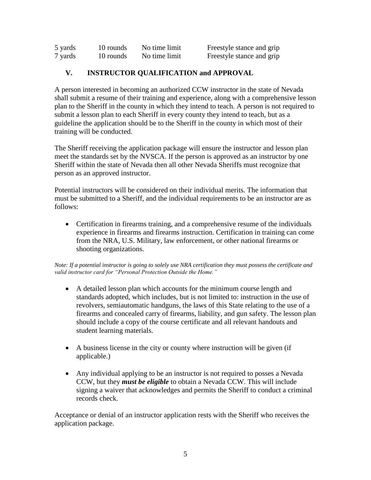| 5 yards | 10 rounds | No time limit | Freestyle stance and grip |
|---------|-----------|---------------|---------------------------|
| 7 yards | 10 rounds | No time limit | Freestyle stance and grip |

## **V. INSTRUCTOR QUALIFICATION and APPROVAL**

A person interested in becoming an authorized CCW instructor in the state of Nevada shall submit a resume of their training and experience, along with a comprehensive lesson plan to the Sheriff in the county in which they intend to teach. A person is not required to submit a lesson plan to each Sheriff in every county they intend to teach, but as a guideline the application should be to the Sheriff in the county in which most of their training will be conducted.

The Sheriff receiving the application package will ensure the instructor and lesson plan meet the standards set by the NVSCA. If the person is approved as an instructor by one Sheriff within the state of Nevada then all other Nevada Sheriffs must recognize that person as an approved instructor.

Potential instructors will be considered on their individual merits. The information that must be submitted to a Sheriff, and the individual requirements to be an instructor are as follows:

 Certification in firearms training, and a comprehensive resume of the individuals experience in firearms and firearms instruction. Certification in training can come from the NRA, U.S. Military, law enforcement, or other national firearms or shooting organizations.

*Note: If a potential instructor is going to solely use NRA certification they must possess the certificate and valid instructor card for "Personal Protection Outside the Home."* 

- A detailed lesson plan which accounts for the minimum course length and standards adopted, which includes, but is not limited to: instruction in the use of revolvers, semiautomatic handguns, the laws of this State relating to the use of a firearms and concealed carry of firearms, liability, and gun safety. The lesson plan should include a copy of the course certificate and all relevant handouts and student learning materials.
- A business license in the city or county where instruction will be given (if applicable.)
- Any individual applying to be an instructor is not required to posses a Nevada CCW, but they *must be eligible* to obtain a Nevada CCW. This will include signing a waiver that acknowledges and permits the Sheriff to conduct a criminal records check.

Acceptance or denial of an instructor application rests with the Sheriff who receives the application package.